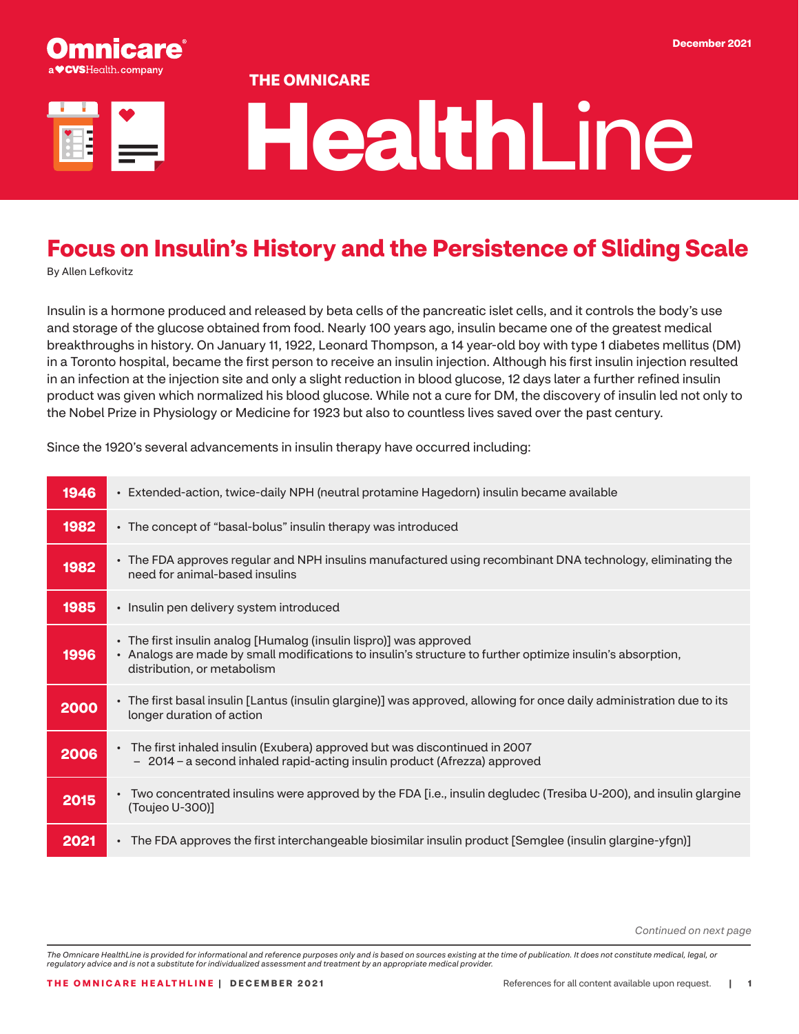

#### **THE OMNICARE**

# **Health**Line

## **Focus on Insulin's History and the Persistence of Sliding Scale**

By Allen Lefkovitz

Insulin is a hormone produced and released by beta cells of the pancreatic islet cells, and it controls the body's use and storage of the glucose obtained from food. Nearly 100 years ago, insulin became one of the greatest medical breakthroughs in history. On January 11, 1922, Leonard Thompson, a 14 year-old boy with type 1 diabetes mellitus (DM) in a Toronto hospital, became the first person to receive an insulin injection. Although his first insulin injection resulted in an infection at the injection site and only a slight reduction in blood glucose, 12 days later a further refined insulin product was given which normalized his blood glucose. While not a cure for DM, the discovery of insulin led not only to the Nobel Prize in Physiology or Medicine for 1923 but also to countless lives saved over the past century.

Since the 1920's several advancements in insulin therapy have occurred including:

| 1946 | • Extended-action, twice-daily NPH (neutral protamine Hagedorn) insulin became available                                                                                                                        |
|------|-----------------------------------------------------------------------------------------------------------------------------------------------------------------------------------------------------------------|
| 1982 | • The concept of "basal-bolus" insulin therapy was introduced                                                                                                                                                   |
| 1982 | • The FDA approves regular and NPH insulins manufactured using recombinant DNA technology, eliminating the<br>need for animal-based insulins                                                                    |
| 1985 | • Insulin pen delivery system introduced                                                                                                                                                                        |
| 1996 | • The first insulin analog [Humalog (insulin lispro)] was approved<br>• Analogs are made by small modifications to insulin's structure to further optimize insulin's absorption,<br>distribution, or metabolism |
| 2000 | • The first basal insulin [Lantus (insulin glargine)] was approved, allowing for once daily administration due to its<br>longer duration of action                                                              |
| 2006 | • The first inhaled insulin (Exubera) approved but was discontinued in 2007<br>- 2014 - a second inhaled rapid-acting insulin product (Afrezza) approved                                                        |
| 2015 | • Two concentrated insulins were approved by the FDA [i.e., insulin degludec (Tresiba U-200), and insulin glargine<br>(Toujeo U-300)]                                                                           |
| 2021 | The FDA approves the first interchangeable biosimilar insulin product [Semglee (insulin glargine-yfgn)]                                                                                                         |

*Continued on next page*

*The Omnicare HealthLine is provided for informational and reference purposes only and is based on sources existing at the time of publication. It does not constitute medical, legal, or regulatory advice and is not a substitute for individualized assessment and treatment by an appropriate medical provider.*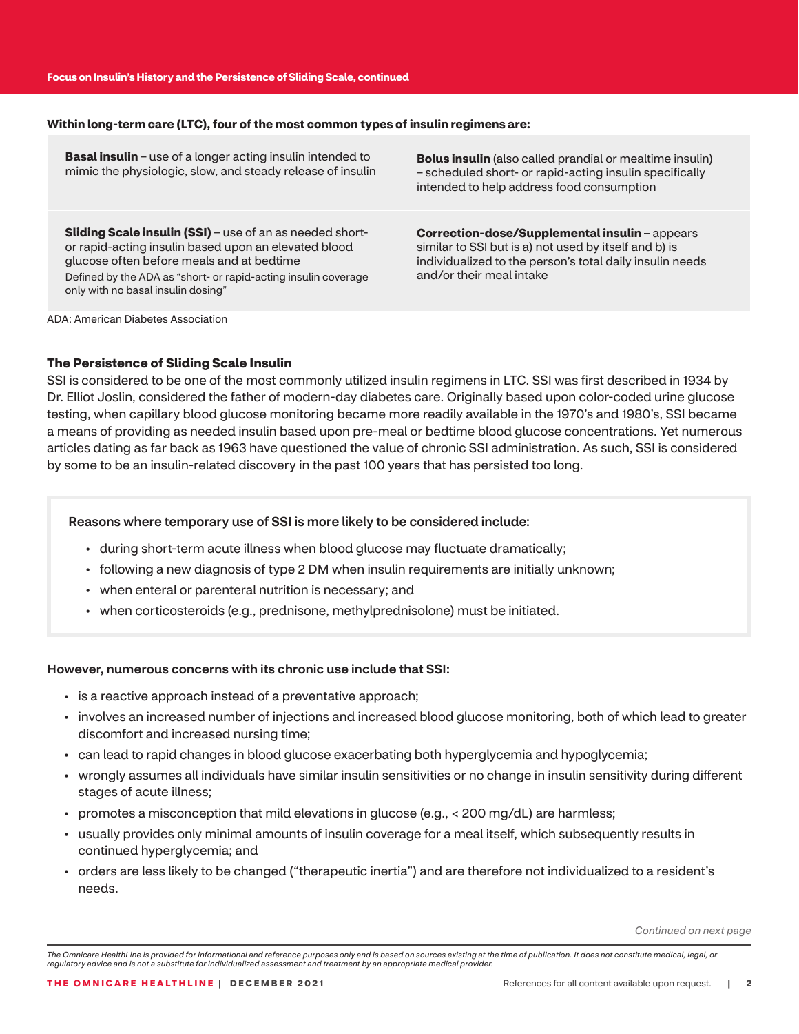#### **Within long-term care (LTC), four of the most common types of insulin regimens are:**

| <b>Basal insulin</b> – use of a longer acting insulin intended to<br>mimic the physiologic, slow, and steady release of insulin                                                                                                                                              | <b>Bolus insulin</b> (also called prandial or mealtime insulin)<br>- scheduled short- or rapid-acting insulin specifically<br>intended to help address food consumption                              |
|------------------------------------------------------------------------------------------------------------------------------------------------------------------------------------------------------------------------------------------------------------------------------|------------------------------------------------------------------------------------------------------------------------------------------------------------------------------------------------------|
| <b>Sliding Scale insulin (SSI)</b> – use of an as needed short-<br>or rapid-acting insulin based upon an elevated blood<br>glucose often before meals and at bedtime<br>Defined by the ADA as "short- or rapid-acting insulin coverage<br>only with no basal insulin dosing" | <b>Correction-dose/Supplemental insulin-appears</b><br>similar to SSI but is a) not used by itself and b) is<br>individualized to the person's total daily insulin needs<br>and/or their meal intake |

ADA: American Diabetes Association

#### **The Persistence of Sliding Scale Insulin**

SSI is considered to be one of the most commonly utilized insulin regimens in LTC. SSI was first described in 1934 by Dr. Elliot Joslin, considered the father of modern-day diabetes care. Originally based upon color-coded urine glucose testing, when capillary blood glucose monitoring became more readily available in the 1970's and 1980's, SSI became a means of providing as needed insulin based upon pre-meal or bedtime blood glucose concentrations. Yet numerous articles dating as far back as 1963 have questioned the value of chronic SSI administration. As such, SSI is considered by some to be an insulin-related discovery in the past 100 years that has persisted too long.

#### Reasons where temporary use of SSI is more likely to be considered include:

- during short-term acute illness when blood glucose may fluctuate dramatically;
- following a new diagnosis of type 2 DM when insulin requirements are initially unknown;
- when enteral or parenteral nutrition is necessary; and
- when corticosteroids (e.g., prednisone, methylprednisolone) must be initiated.

#### However, numerous concerns with its chronic use include that SSI:

- is a reactive approach instead of a preventative approach;
- involves an increased number of injections and increased blood glucose monitoring, both of which lead to greater discomfort and increased nursing time;
- can lead to rapid changes in blood glucose exacerbating both hyperglycemia and hypoglycemia;
- wrongly assumes all individuals have similar insulin sensitivities or no change in insulin sensitivity during different stages of acute illness;
- promotes a misconception that mild elevations in glucose (e.g., < 200 mg/dL) are harmless;
- usually provides only minimal amounts of insulin coverage for a meal itself, which subsequently results in continued hyperglycemia; and
- orders are less likely to be changed ("therapeutic inertia") and are therefore not individualized to a resident's needs.

*Continued on next page*

*The Omnicare HealthLine is provided for informational and reference purposes only and is based on sources existing at the time of publication. It does not constitute medical, legal, or regulatory advice and is not a substitute for individualized assessment and treatment by an appropriate medical provider.*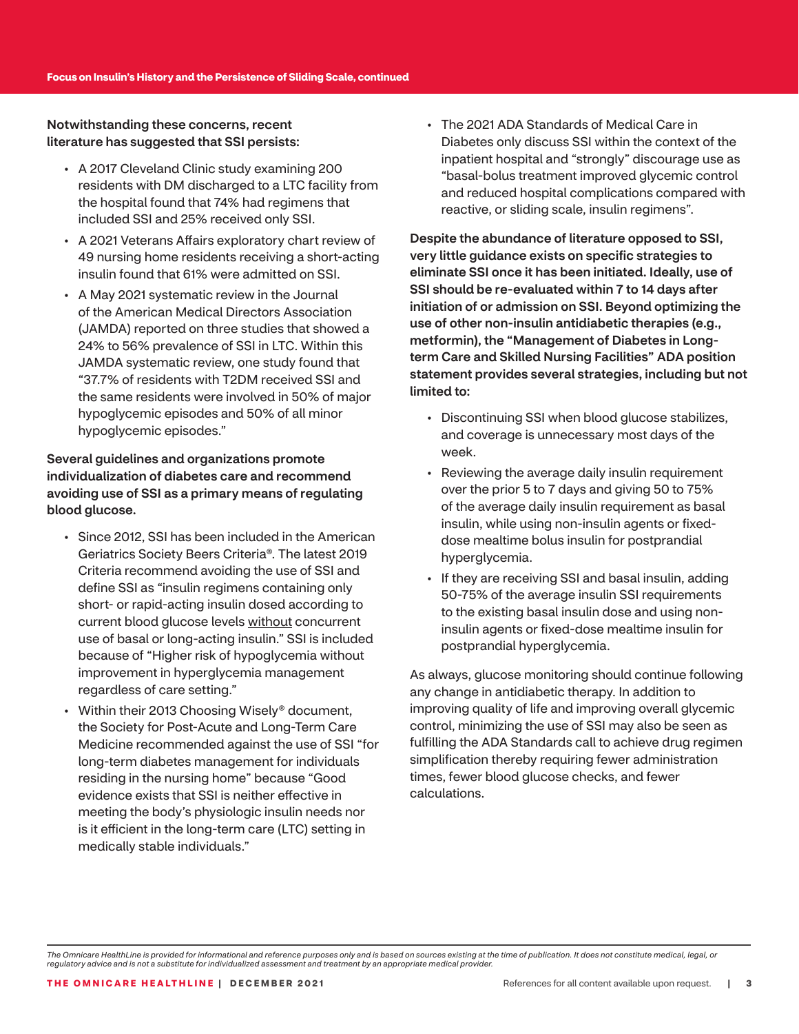Notwithstanding these concerns, recent literature has suggested that SSI persists:

- A 2017 Cleveland Clinic study examining 200 residents with DM discharged to a LTC facility from the hospital found that 74% had regimens that included SSI and 25% received only SSI.
- A 2021 Veterans Affairs exploratory chart review of 49 nursing home residents receiving a short-acting insulin found that 61% were admitted on SSI.
- A May 2021 systematic review in the Journal of the American Medical Directors Association (JAMDA) reported on three studies that showed a 24% to 56% prevalence of SSI in LTC. Within this JAMDA systematic review, one study found that "37.7% of residents with T2DM received SSI and the same residents were involved in 50% of major hypoglycemic episodes and 50% of all minor hypoglycemic episodes."

#### Several guidelines and organizations promote individualization of diabetes care and recommend avoiding use of SSI as a primary means of regulating blood glucose.

- Since 2012, SSI has been included in the American Geriatrics Society Beers Criteria®. The latest 2019 Criteria recommend avoiding the use of SSI and define SSI as "insulin regimens containing only short- or rapid-acting insulin dosed according to current blood glucose levels without concurrent use of basal or long-acting insulin." SSI is included because of "Higher risk of hypoglycemia without improvement in hyperglycemia management regardless of care setting."
- Within their 2013 Choosing Wisely® document, the Society for Post-Acute and Long-Term Care Medicine recommended against the use of SSI "for long-term diabetes management for individuals residing in the nursing home" because "Good evidence exists that SSI is neither effective in meeting the body's physiologic insulin needs nor is it efficient in the long-term care (LTC) setting in medically stable individuals."

• The 2021 ADA Standards of Medical Care in Diabetes only discuss SSI within the context of the inpatient hospital and "strongly" discourage use as "basal-bolus treatment improved glycemic control and reduced hospital complications compared with reactive, or sliding scale, insulin regimens".

Despite the abundance of literature opposed to SSI, very little guidance exists on specific strategies to eliminate SSI once it has been initiated. Ideally, use of SSI should be re-evaluated within 7 to 14 days after initiation of or admission on SSI. Beyond optimizing the use of other non-insulin antidiabetic therapies (e.g., metformin), the "Management of Diabetes in Longterm Care and Skilled Nursing Facilities" ADA position statement provides several strategies, including but not limited to:

- Discontinuing SSI when blood glucose stabilizes, and coverage is unnecessary most days of the week.
- Reviewing the average daily insulin requirement over the prior 5 to 7 days and giving 50 to 75% of the average daily insulin requirement as basal insulin, while using non-insulin agents or fixeddose mealtime bolus insulin for postprandial hyperglycemia.
- If they are receiving SSI and basal insulin, adding 50-75% of the average insulin SSI requirements to the existing basal insulin dose and using noninsulin agents or fixed-dose mealtime insulin for postprandial hyperglycemia.

As always, glucose monitoring should continue following any change in antidiabetic therapy. In addition to improving quality of life and improving overall glycemic control, minimizing the use of SSI may also be seen as fulfilling the ADA Standards call to achieve drug regimen simplification thereby requiring fewer administration times, fewer blood glucose checks, and fewer calculations.

*The Omnicare HealthLine is provided for informational and reference purposes only and is based on sources existing at the time of publication. It does not constitute medical, legal, or regulatory advice and is not a substitute for individualized assessment and treatment by an appropriate medical provider.*